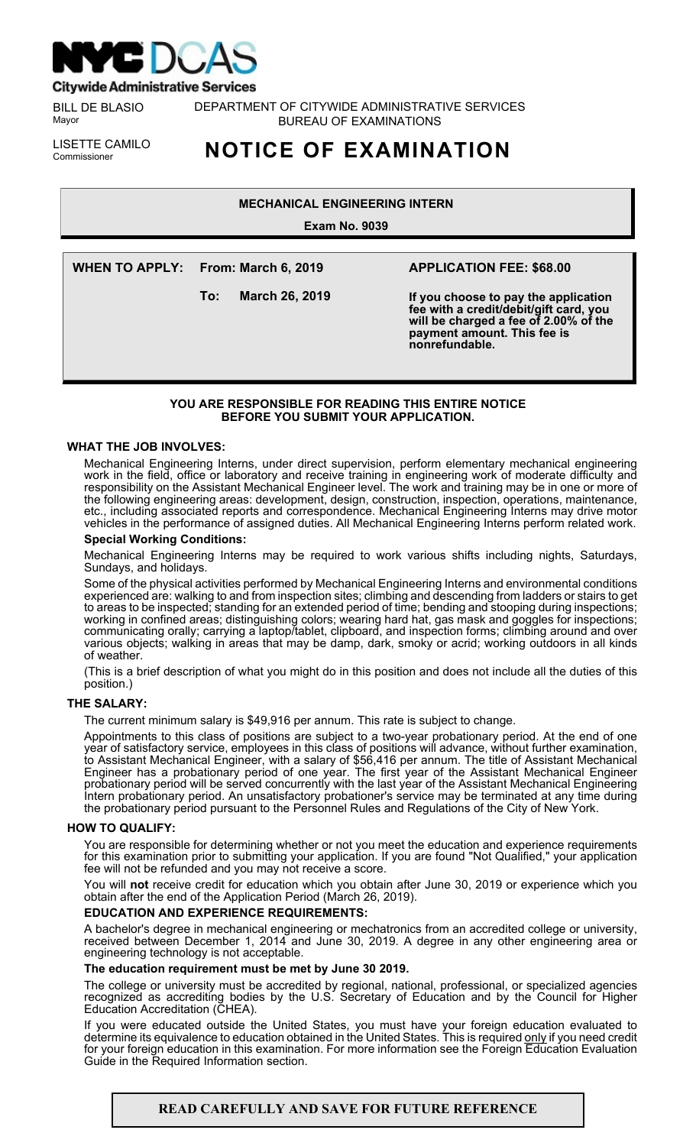

**Citywide Administrative Services** 

BILL DE BLASIO Mayor

DEPARTMENT OF CITYWIDE ADMINISTRATIVE SERVICES BUREAU OF EXAMINATIONS

LISETTE CAMILO<br>Commissioner

# Commissioner **NOTICE OF EXAMINATION**

# **MECHANICAL ENGINEERING INTERN**

**Exam No. 9039**

**WHEN TO APPLY: From: March 6, 2019**

**To: March 26, 2019**

# **APPLICATION FEE: \$68.00**

**If you choose to pay the application fee with a credit/debit/gift card, you will be charged a fee of 2.00% of the payment amount. This fee is nonrefundable.**

# **YOU ARE RESPONSIBLE FOR READING THIS ENTIRE NOTICE BEFORE YOU SUBMIT YOUR APPLICATION.**

#### **WHAT THE JOB INVOLVES:**

Mechanical Engineering Interns, under direct supervision, perform elementary mechanical engineering work in the field, office or laboratory and receive training in engineering work of moderate difficulty and responsibility on the Assistant Mechanical Engineer level. The work and training may be in one or more of the following engineering areas: development, design, construction, inspection, operations, maintenance, etc., including associated reports and correspondence. Mechanical Engineering Interns may drive motor vehicles in the performance of assigned duties. All Mechanical Engineering Interns perform related work.

## **Special Working Conditions:**

Mechanical Engineering Interns may be required to work various shifts including nights, Saturdays, Sundays, and holidays.

Some of the physical activities performed by Mechanical Engineering Interns and environmental conditions experienced are: walking to and from inspection sites; climbing and descending from ladders or stairs to get to areas to be inspected; standing for an extended period of time; bending and stooping during inspections; working in confined areas; distinguishing colors; wearing hard hat, gas mask and goggles for inspections; communicating orally; carrying a laptop/tablet, clipboard, and inspection forms; climbing around and over various objects; walking in areas that may be damp, dark, smoky or acrid; working outdoors in all kinds of weather.

(This is a brief description of what you might do in this position and does not include all the duties of this position.)

#### **THE SALARY:**

The current minimum salary is \$49,916 per annum. This rate is subject to change.

Appointments to this class of positions are subject to a two-year probationary period. At the end of one year of satisfactory service, employees in this class of positions will advance, without further examination, to Assistant Mechanical Engineer, with a salary of \$56,416 per annum. The title of Assistant Mechanical Engineer has a probationary period of one year. The first year of the Assistant Mechanical Engineer probationary period will be served concurrently with the last year of the Assistant Mechanical Engineering Intern probationary period. An unsatisfactory probationer's service may be terminated at any time during the probationary period pursuant to the Personnel Rules and Regulations of the City of New York.

#### **HOW TO QUALIFY:**

You are responsible for determining whether or not you meet the education and experience requirements for this examination prior to submitting your application. If you are found "Not Qualified," your application fee will not be refunded and you may not receive a score.

You will **not** receive credit for education which you obtain after June 30, 2019 or experience which you obtain after the end of the Application Period (March 26, 2019).

# **EDUCATION AND EXPERIENCE REQUIREMENTS:**

A bachelor's degree in mechanical engineering or mechatronics from an accredited college or university, received between December 1, 2014 and June 30, 2019. A degree in any other engineering area or engineering technology is not acceptable.

#### **The education requirement must be met by June 30 2019.**

The college or university must be accredited by regional, national, professional, or specialized agencies recognized as accrediting bodies by the U.S. Secretary of Education and by the Council for Higher Education Accreditation (CHEA).

If you were educated outside the United States, you must have your foreign education evaluated to determine its equivalence to education obtained in the United States. This is required <u>only</u> if you need credit for your foreign education in this examination. For more information see the Foreign Education Evaluation Guide in the Required Information section.

# **READ CAREFULLY AND SAVE FOR FUTURE REFERENCE**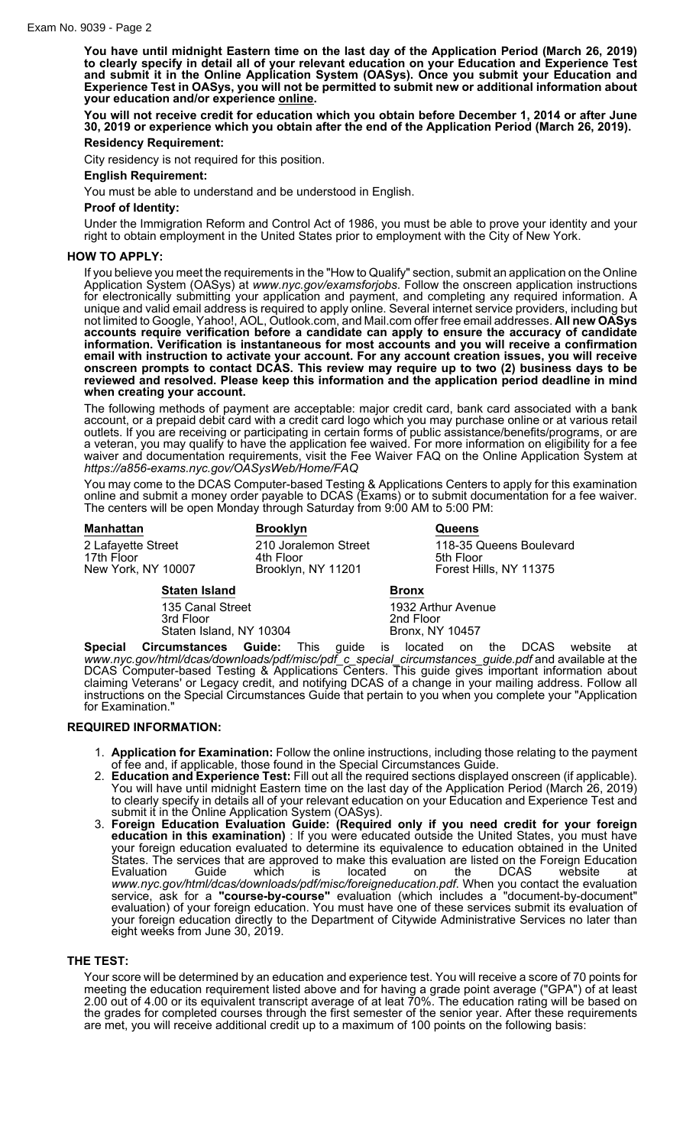**You have until midnight Eastern time on the last day of the Application Period (March 26, 2019) to clearly specify in detail all of your relevant education on your Education and Experience Test and submit it in the Online Application System (OASys). Once you submit your Education and Experience Test in OASys, you will not be permitted to submit new or additional information about your education and/or experience online.**

**You will not receive credit for education which you obtain before December 1, 2014 or after June 30, 2019 or experience which you obtain after the end of the Application Period (March 26, 2019).**

## **Residency Requirement:**

City residency is not required for this position.

#### **English Requirement:**

You must be able to understand and be understood in English.

#### **Proof of Identity:**

Under the Immigration Reform and Control Act of 1986, you must be able to prove your identity and your right to obtain employment in the United States prior to employment with the City of New York.

### **HOW TO APPLY:**

If you believe you meet the requirements in the "How to Qualify" section, submit an application on the Online Application System (OASys) at *www.nyc.gov/examsforjobs*. Follow the onscreen application instructions for electronically submitting your application and payment, and completing any required information. A unique and valid email address is required to apply online. Several internet service providers, including but not limited to Google, Yahoo!, AOL, Outlook.com, and Mail.com offer free email addresses. **All new OASys accounts require verification before a candidate can apply to ensure the accuracy of candidate information. Verification is instantaneous for most accounts and you will receive a confirmation email with instruction to activate your account. For any account creation issues, you will receive onscreen prompts to contact DCAS. This review may require up to two (2) business days to be reviewed and resolved. Please keep this information and the application period deadline in mind when creating your account.**

The following methods of payment are acceptable: major credit card, bank card associated with a bank account, or a prepaid debit card with a credit card logo which you may purchase online or at various retail outlets. If you are receiving or participating in certain forms of public assistance/benefits/programs, or are a veteran, you may qualify to have the application fee waived. For more information on eligibility for a fee waiver and documentation requirements, visit the Fee Waiver FAQ on the Online Application System at *https://a856-exams.nyc.gov/OASysWeb/Home/FAQ*

You may come to the DCAS Computer-based Testing & Applications Centers to apply for this examination online and submit a money order payable to DCAS (Exams) or to submit documentation for a fee waiver. The centers will be open Monday through Saturday from 9:00 AM to 5:00 PM:

| <b>Manhattan</b>                                         | <b>Brooklyn</b>                                         | <b>Queens</b>                                                  |
|----------------------------------------------------------|---------------------------------------------------------|----------------------------------------------------------------|
| 2 Lafayette Street<br>17th Floor<br>New York, NY 10007   | 210 Joralemon Street<br>4th Floor<br>Brooklyn, NY 11201 | 118-35 Queens Boulevard<br>5th Floor<br>Forest Hills, NY 11375 |
| <b>Staten Island</b>                                     |                                                         | <b>Bronx</b>                                                   |
| 135 Canal Street<br>3rd Floor<br>Staten Island, NY 10304 |                                                         | 1932 Arthur Avenue<br>2nd Floor<br><b>Bronx, NY 10457</b>      |
|                                                          |                                                         |                                                                |

**Special Circumstances Guide:** This guide is located on the DCAS website at *www.nyc.gov/html/dcas/downloads/pdf/misc/pdf\_c\_special\_circumstances\_guide.pdf* and available at the DCAS Computer-based Testing & Applications Centers. This guide gives important information about claiming Veterans' or Legacy credit, and notifying DCAS of a change in your mailing address. Follow all instructions on the Special Circumstances Guide that pertain to you when you complete your "Application for Examination."

#### **REQUIRED INFORMATION:**

- 1. **Application for Examination:** Follow the online instructions, including those relating to the payment of fee and, if applicable, those found in the Special Circumstances Guide.
- 2. **Education and Experience Test:** Fill out all the required sections displayed onscreen (if applicable). You will have until midnight Eastern time on the last day of the Application Period (March 26, 2019) to clearly specify in details all of your relevant education on your Education and Experience Test and submit it in the Online Application System (OASys).
- 3. **Foreign Education Evaluation Guide: (Required only if you need credit for your foreign education in this examination)** : If you were educated outside the United States, you must have your foreign education evaluated to determine its equivalence to education obtained in the United States. The services that are approved to make this evaluation are listed on the Foreign Education Evaluation Guide which is located on the DCAS website at *www.nyc.gov/html/dcas/downloads/pdf/misc/foreigneducation.pdf*. When you contact the evaluation service, ask for a **"course-by-course"** evaluation (which includes a "document-by-document" evaluation) of your foreign education. You must have one of these services submit its evaluation of your foreign education directly to the Department of Citywide Administrative Services no later than eight weeks from June 30, 2019.

### **THE TEST:**

Your score will be determined by an education and experience test. You will receive a score of 70 points for meeting the education requirement listed above and for having a grade point average ("GPA") of at least 2.00 out of 4.00 or its equivalent transcript average of at leat 70%. The education rating will be based on the grades for completed courses through the first semester of the senior year. After these requirements are met, you will receive additional credit up to a maximum of 100 points on the following basis: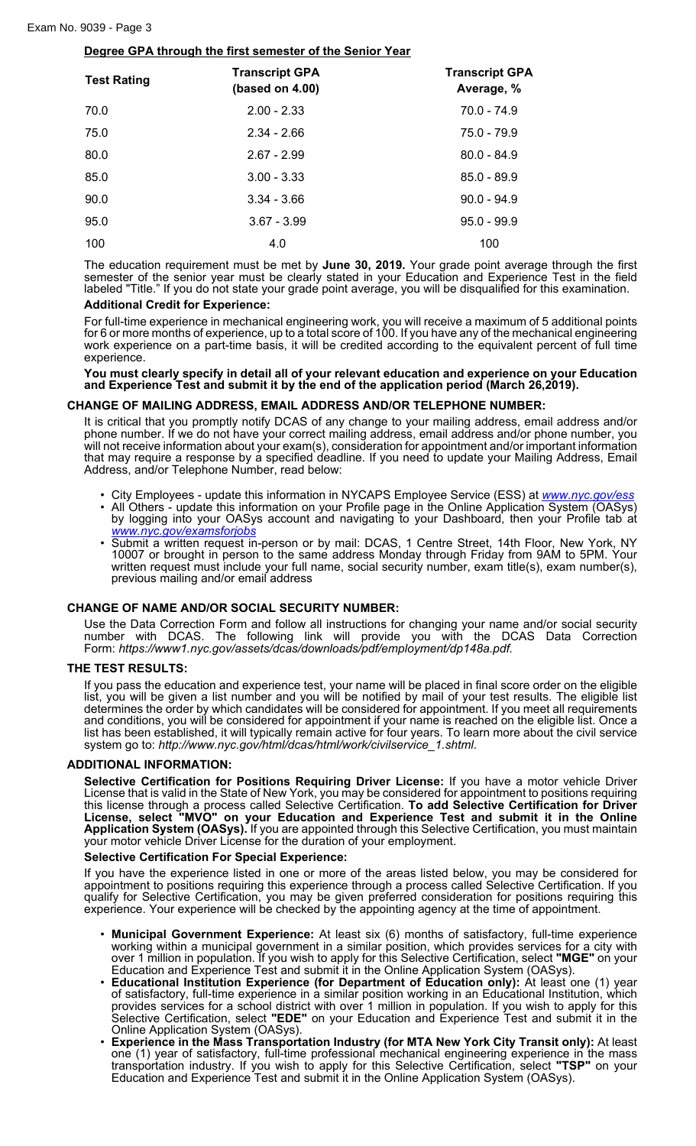# **Degree GPA through the first semester of the Senior Year**

| <b>Test Rating</b> | <b>Transcript GPA</b><br>(based on $4.00$ ) | <b>Transcript GPA</b><br>Average, % |
|--------------------|---------------------------------------------|-------------------------------------|
| 70.0               | $2.00 - 2.33$                               | $70.0 - 74.9$                       |
| 75.0               | $2.34 - 2.66$                               | 75.0 - 79.9                         |
| 80.0               | $2.67 - 2.99$                               | $80.0 - 84.9$                       |
| 85.0               | $3.00 - 3.33$                               | $85.0 - 89.9$                       |
| 90.0               | $3.34 - 3.66$                               | $90.0 - 94.9$                       |
| 95.0               | $3.67 - 3.99$                               | $95.0 - 99.9$                       |
| 100                | 4.0                                         | 100                                 |

The education requirement must be met by **June 30, 2019.** Your grade point average through the first semester of the senior year must be clearly stated in your Education and Experience Test in the field labeled "Title." If you do not state your grade point average, you will be disqualified for this examination.

# **Additional Credit for Experience:**

For full-time experience in mechanical engineering work, you will receive a maximum of 5 additional points for 6 or more months of experience, up to a total score of 100. If you have any of the mechanical engineering work experience on a part-time basis, it will be credited according to the equivalent percent of full time experience.

**You must clearly specify in detail all of your relevant education and experience on your Education and Experience Test and submit it by the end of the application period (March 26,2019).**

# **CHANGE OF MAILING ADDRESS, EMAIL ADDRESS AND/OR TELEPHONE NUMBER:**

It is critical that you promptly notify DCAS of any change to your mailing address, email address and/or phone number. If we do not have your correct mailing address, email address and/or phone number, you will not receive information about your exam(s), consideration for appointment and/or important information that may require a response by a specified deadline. If you need to update your Mailing Address, Email Address, and/or Telephone Number, read below:

- City Employees update this information in NYCAPS Employee Service (ESS) at *[www.nyc.gov/ess](http://www.nyc.gov/ess)*
- All Others update this information on your Profile page in the Online Application System (OASys) by logging into your OASys account and navigating to your Dashboard, then your Profile tab at *[www.nyc.gov/examsforjobs](http://www.nyc.gov/examsforjobs)*
- Submit a written request in-person or by mail: DCAS, 1 Centre Street, 14th Floor, New York, NY 10007 or brought in person to the same address Monday through Friday from 9AM to 5PM. Your written request must include your full name, social security number, exam title(s), exam number(s), previous mailing and/or email address

# **CHANGE OF NAME AND/OR SOCIAL SECURITY NUMBER:**

Use the Data Correction Form and follow all instructions for changing your name and/or social security number with DCAS. The following link will provide you with the DCAS Data Correction Form: *https://www1.nyc.gov/assets/dcas/downloads/pdf/employment/dp148a.pdf.*

# **THE TEST RESULTS:**

If you pass the education and experience test, your name will be placed in final score order on the eligible list, you will be given a list number and you will be notified by mail of your test results. The eligible list determines the order by which candidates will be considered for appointment. If you meet all requirements and conditions, you will be considered for appointment if your name is reached on the eligible list. Once a list has been established, it will typically remain active for four years. To learn more about the civil service system go to: *http://www.nyc.gov/html/dcas/html/work/civilservice\_1.shtml*.

# **ADDITIONAL INFORMATION:**

**Selective Certification for Positions Requiring Driver License:** If you have a motor vehicle Driver License that is valid in the State of New York, you may be considered for appointment to positions requiring this license through a process called Selective Certification. **To add Selective Certification for Driver License, select "MVO" on your Education and Experience Test and submit it in the Online Application System (OASys).** If you are appointed through this Selective Certification, you must maintain your motor vehicle Driver License for the duration of your employment.

#### **Selective Certification For Special Experience:**

If you have the experience listed in one or more of the areas listed below, you may be considered for appointment to positions requiring this experience through a process called Selective Certification. If you qualify for Selective Certification, you may be given preferred consideration for positions requiring this experience. Your experience will be checked by the appointing agency at the time of appointment.

- **Municipal Government Experience:** At least six (6) months of satisfactory, full-time experience working within a municipal government in a similar position, which provides services for a city with over 1 million in population. If you wish to apply for this Selective Certification, select **"MGE"** on your Education and Experience Test and submit it in the Online Application System (OASys).
- **Educational Institution Experience (for Department of Education only):** At least one (1) year of satisfactory, full-time experience in a similar position working in an Educational Institution, which provides services for a school district with over 1 million in population. If you wish to apply for this Selective Certification, select **"EDE"** on your Education and Experience Test and submit it in the Online Application System (OASys).
- **Experience in the Mass Transportation Industry (for MTA New York City Transit only):** At least one (1) year of satisfactory, full-time professional mechanical engineering experience in the mass transportation industry. If you wish to apply for this Selective Certification, select **"TSP"** on your Education and Experience Test and submit it in the Online Application System (OASys).